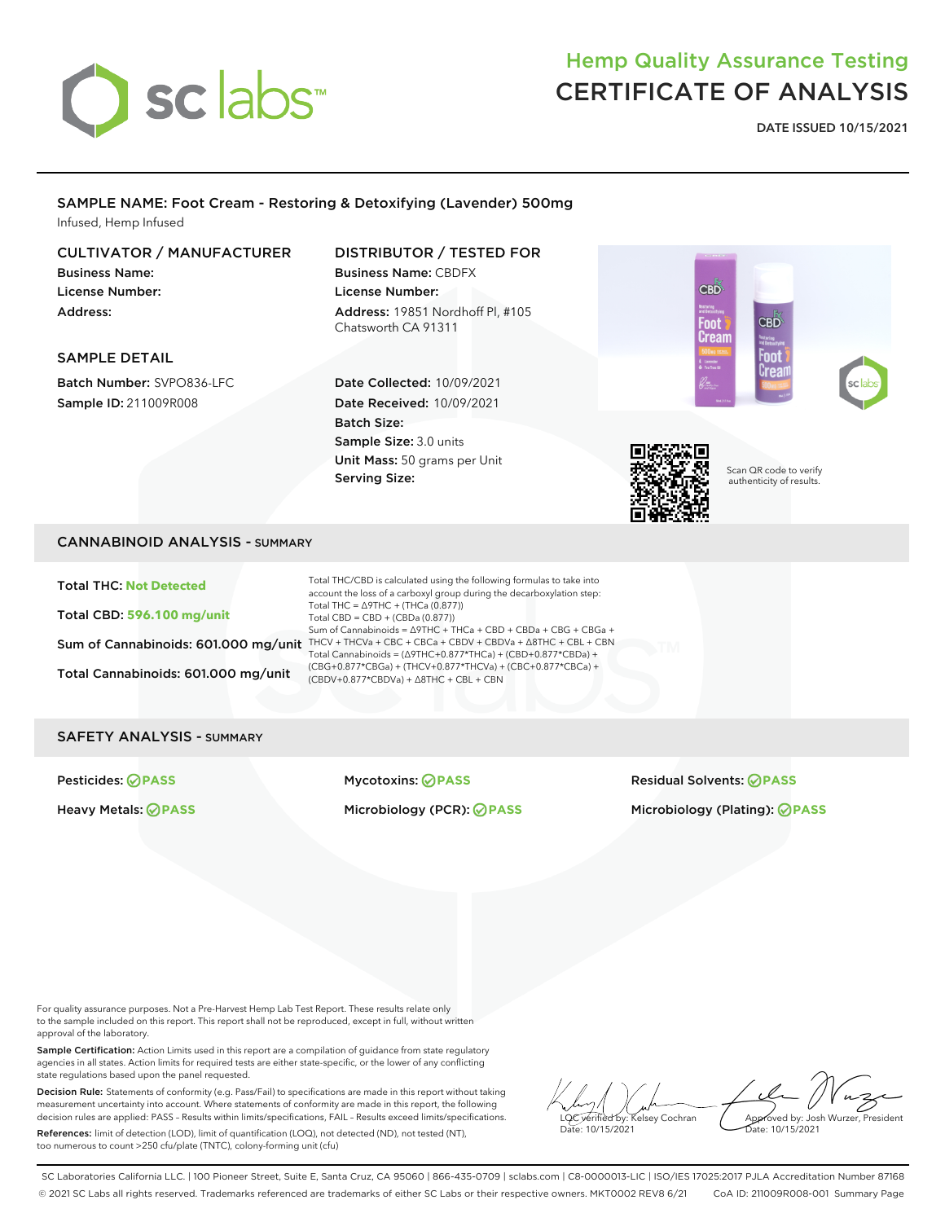

# Hemp Quality Assurance Testing CERTIFICATE OF ANALYSIS

CBD

Foot Cream **DATE ISSUED 10/15/2021**

### SAMPLE NAME: Foot Cream - Restoring & Detoxifying (Lavender) 500mg Infused, Hemp Infused

### CULTIVATOR / MANUFACTURER

Business Name: License Number: Address:

### DISTRIBUTOR / TESTED FOR Business Name: CBDFX License Number:

Address: 19851 Nordhoff Pl, #105 Chatsworth CA 91311

### SAMPLE DETAIL

Batch Number: SVPO836-LFC Sample ID: 211009R008

### Date Collected: 10/09/2021 Date Received: 10/09/2021 Batch Size: Sample Size: 3.0 units Unit Mass: 50 grams per Unit Serving Size:



Scan QR code to verify authenticity of results.

CBD

Foot

### CANNABINOID ANALYSIS - SUMMARY

Total THC: **Not Detected**

Total CBD: **596.100 mg/unit**

Total Cannabinoids: 601.000 mg/unit

Sum of Cannabinoids: 601.000 mg/unit THCV + THCVa + CBC + CBCa + CBDV + CBDVa +  $\Delta$ 8THC + CBL + CBN Total THC/CBD is calculated using the following formulas to take into account the loss of a carboxyl group during the decarboxylation step: Total THC =  $\triangle$ 9THC + (THCa (0.877)) Total CBD = CBD + (CBDa (0.877)) Sum of Cannabinoids = ∆9THC + THCa + CBD + CBDa + CBG + CBGa + Total Cannabinoids = (∆9THC+0.877\*THCa) + (CBD+0.877\*CBDa) + (CBG+0.877\*CBGa) + (THCV+0.877\*THCVa) + (CBC+0.877\*CBCa) + (CBDV+0.877\*CBDVa) + ∆8THC + CBL + CBN

### SAFETY ANALYSIS - SUMMARY

Pesticides: **PASS** Mycotoxins: **PASS** Residual Solvents: **PASS** Heavy Metals: **PASS** Microbiology (PCR): **PASS** Microbiology (Plating): **PASS**

For quality assurance purposes. Not a Pre-Harvest Hemp Lab Test Report. These results relate only to the sample included on this report. This report shall not be reproduced, except in full, without written approval of the laboratory.

Sample Certification: Action Limits used in this report are a compilation of guidance from state regulatory agencies in all states. Action limits for required tests are either state-specific, or the lower of any conflicting state regulations based upon the panel requested.

Decision Rule: Statements of conformity (e.g. Pass/Fail) to specifications are made in this report without taking measurement uncertainty into account. Where statements of conformity are made in this report, the following decision rules are applied: PASS – Results within limits/specifications, FAIL – Results exceed limits/specifications.

References: limit of detection (LOD), limit of quantification (LOQ), not detected (ND), not tested (NT), too numerous to count >250 cfu/plate (TNTC), colony-forming unit (cfu)

LQC verified by: Kelsey Cochran Date: 10/15/2021 Approved by: Josh Wurzer, President Date: 10/15/2021

SC Laboratories California LLC. | 100 Pioneer Street, Suite E, Santa Cruz, CA 95060 | 866-435-0709 | sclabs.com | C8-0000013-LIC | ISO/IES 17025:2017 PJLA Accreditation Number 87168 © 2021 SC Labs all rights reserved. Trademarks referenced are trademarks of either SC Labs or their respective owners. MKT0002 REV8 6/21 CoA ID: 211009R008-001 Summary Page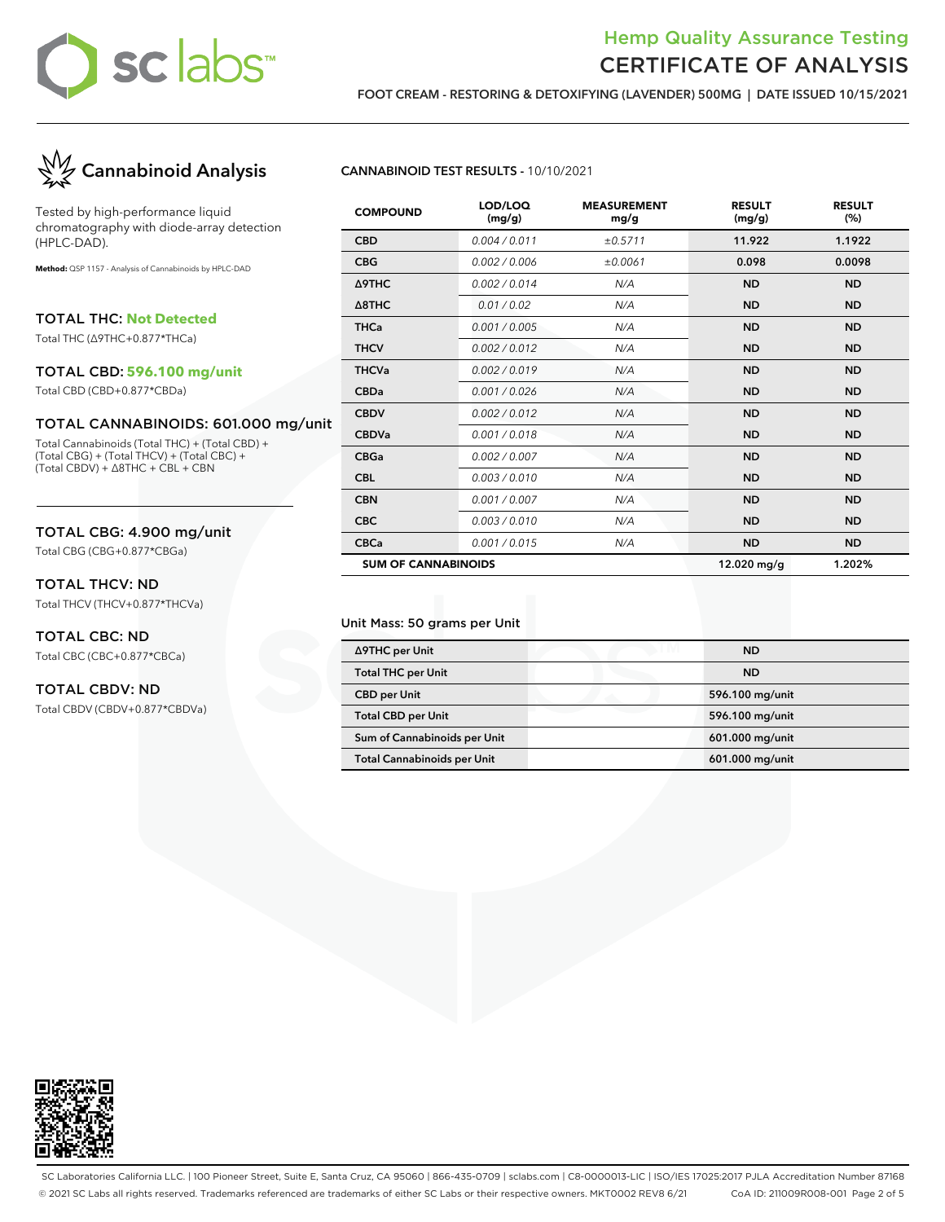# sclabs™

### Hemp Quality Assurance Testing CERTIFICATE OF ANALYSIS

**FOOT CREAM - RESTORING & DETOXIFYING (LAVENDER) 500MG | DATE ISSUED 10/15/2021**



Tested by high-performance liquid chromatography with diode-array detection (HPLC-DAD).

**Method:** QSP 1157 - Analysis of Cannabinoids by HPLC-DAD

TOTAL THC: **Not Detected**

Total THC (∆9THC+0.877\*THCa)

#### TOTAL CBD: **596.100 mg/unit**

Total CBD (CBD+0.877\*CBDa)

### TOTAL CANNABINOIDS: 601.000 mg/unit

Total Cannabinoids (Total THC) + (Total CBD) + (Total CBG) + (Total THCV) + (Total CBC) + (Total CBDV) + ∆8THC + CBL + CBN

### TOTAL CBG: 4.900 mg/unit

Total CBG (CBG+0.877\*CBGa)

### TOTAL THCV: ND

Total THCV (THCV+0.877\*THCVa)

### TOTAL CBC: ND

Total CBC (CBC+0.877\*CBCa)

### TOTAL CBDV: ND

Total CBDV (CBDV+0.877\*CBDVa)

### **CANNABINOID TEST RESULTS -** 10/10/2021

| <b>COMPOUND</b>            | LOD/LOQ<br>(mg/g) | <b>MEASUREMENT</b><br>mg/g | <b>RESULT</b><br>(mg/g) | <b>RESULT</b><br>(%) |
|----------------------------|-------------------|----------------------------|-------------------------|----------------------|
| <b>CBD</b>                 | 0.004 / 0.011     | ±0.5711                    | 11.922                  | 1.1922               |
| <b>CBG</b>                 | 0.002 / 0.006     | ±0.0061                    | 0.098                   | 0.0098               |
| Δ9THC                      | 0.002/0.014       | N/A                        | <b>ND</b>               | <b>ND</b>            |
| $\triangle$ 8THC           | 0.01 / 0.02       | N/A                        | <b>ND</b>               | <b>ND</b>            |
| <b>THCa</b>                | 0.001 / 0.005     | N/A                        | <b>ND</b>               | <b>ND</b>            |
| <b>THCV</b>                | 0.002/0.012       | N/A                        | <b>ND</b>               | <b>ND</b>            |
| <b>THCVa</b>               | 0.002 / 0.019     | N/A                        | <b>ND</b>               | <b>ND</b>            |
| <b>CBDa</b>                | 0.001 / 0.026     | N/A                        | <b>ND</b>               | <b>ND</b>            |
| <b>CBDV</b>                | 0.002 / 0.012     | N/A                        | <b>ND</b>               | <b>ND</b>            |
| <b>CBDVa</b>               | 0.001/0.018       | N/A                        | <b>ND</b>               | <b>ND</b>            |
| <b>CBGa</b>                | 0.002 / 0.007     | N/A                        | <b>ND</b>               | <b>ND</b>            |
| <b>CBL</b>                 | 0.003/0.010       | N/A                        | <b>ND</b>               | <b>ND</b>            |
| <b>CBN</b>                 | 0.001 / 0.007     | N/A                        | <b>ND</b>               | <b>ND</b>            |
| <b>CBC</b>                 | 0.003/0.010       | N/A                        | <b>ND</b>               | <b>ND</b>            |
| <b>CBCa</b>                | 0.001 / 0.015     | N/A                        | <b>ND</b>               | <b>ND</b>            |
| <b>SUM OF CANNABINOIDS</b> |                   |                            | 12.020 mg/g             | 1.202%               |

#### Unit Mass: 50 grams per Unit

| ∆9THC per Unit                     | <b>ND</b>       |
|------------------------------------|-----------------|
| <b>Total THC per Unit</b>          | <b>ND</b>       |
| <b>CBD</b> per Unit                | 596.100 mg/unit |
| <b>Total CBD per Unit</b>          | 596.100 mg/unit |
| Sum of Cannabinoids per Unit       | 601.000 mg/unit |
| <b>Total Cannabinoids per Unit</b> | 601.000 mg/unit |



SC Laboratories California LLC. | 100 Pioneer Street, Suite E, Santa Cruz, CA 95060 | 866-435-0709 | sclabs.com | C8-0000013-LIC | ISO/IES 17025:2017 PJLA Accreditation Number 87168 © 2021 SC Labs all rights reserved. Trademarks referenced are trademarks of either SC Labs or their respective owners. MKT0002 REV8 6/21 CoA ID: 211009R008-001 Page 2 of 5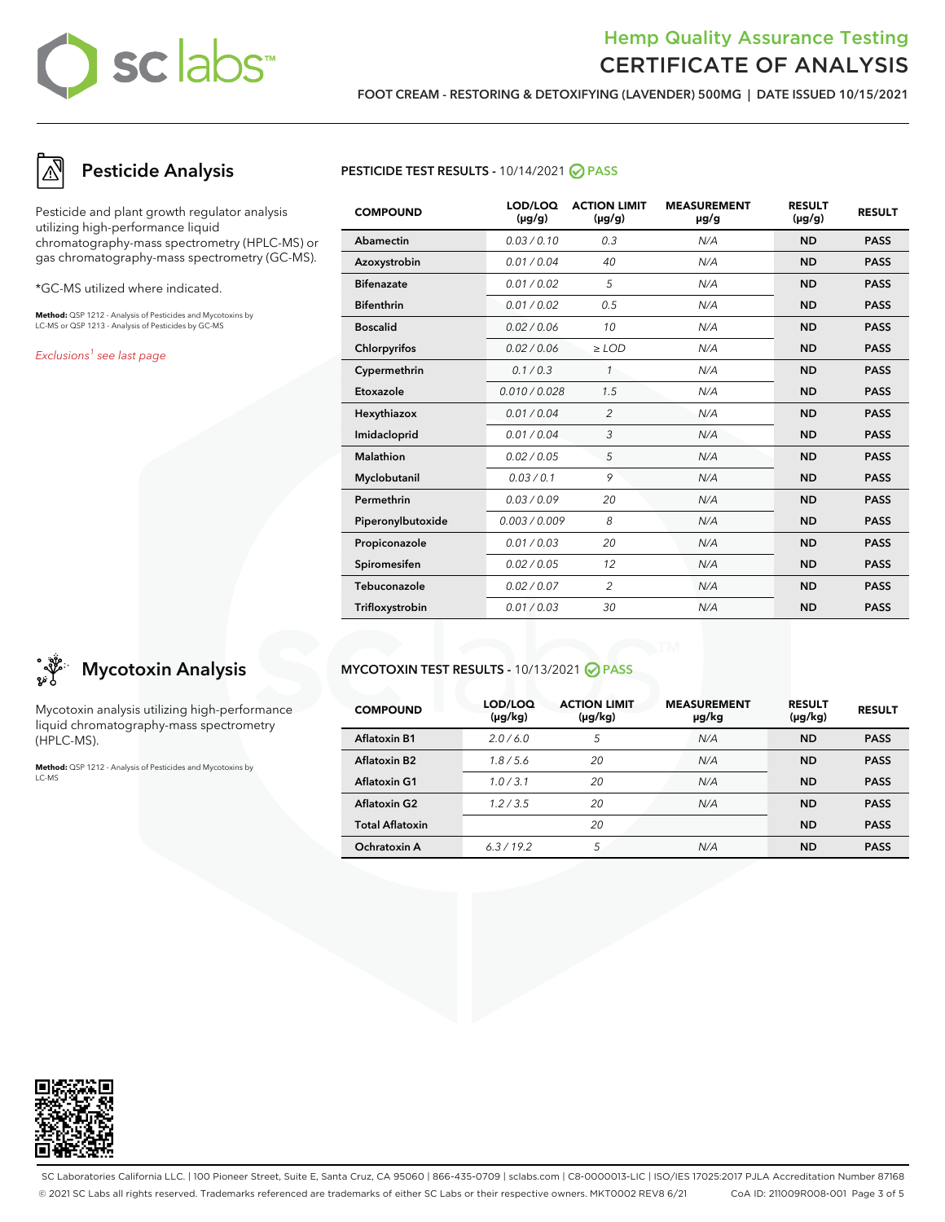# sclabs™

## Hemp Quality Assurance Testing CERTIFICATE OF ANALYSIS

**FOOT CREAM - RESTORING & DETOXIFYING (LAVENDER) 500MG | DATE ISSUED 10/15/2021**

# **Pesticide Analysis**

Pesticide and plant growth regulator analysis utilizing high-performance liquid chromatography-mass spectrometry (HPLC-MS) or gas chromatography-mass spectrometry (GC-MS).

\*GC-MS utilized where indicated.

**Method:** QSP 1212 - Analysis of Pesticides and Mycotoxins by LC-MS or QSP 1213 - Analysis of Pesticides by GC-MS

Exclusions<sup>1</sup> see last page

# **Mycotoxin Analysis**

Mycotoxin analysis utilizing high-performance liquid chromatography-mass spectrometry (HPLC-MS).

**Method:** QSP 1212 - Analysis of Pesticides and Mycotoxins by LC-MS

### **PESTICIDE TEST RESULTS - 10/14/2021 ⊘ PASS**

| <b>COMPOUND</b>   | LOD/LOQ<br>$(\mu g/g)$ | <b>ACTION LIMIT</b><br>$(\mu g/g)$ | <b>MEASUREMENT</b><br>µg/g | <b>RESULT</b><br>$(\mu g/g)$ | <b>RESULT</b> |
|-------------------|------------------------|------------------------------------|----------------------------|------------------------------|---------------|
| Abamectin         | 0.03/0.10              | 0.3                                | N/A                        | <b>ND</b>                    | <b>PASS</b>   |
| Azoxystrobin      | 0.01 / 0.04            | 40                                 | N/A                        | <b>ND</b>                    | <b>PASS</b>   |
| <b>Bifenazate</b> | 0.01 / 0.02            | 5                                  | N/A                        | <b>ND</b>                    | <b>PASS</b>   |
| <b>Bifenthrin</b> | 0.01 / 0.02            | 0.5                                | N/A                        | <b>ND</b>                    | <b>PASS</b>   |
| <b>Boscalid</b>   | 0.02 / 0.06            | 10                                 | N/A                        | <b>ND</b>                    | <b>PASS</b>   |
| Chlorpyrifos      | 0.02 / 0.06            | $\ge$ LOD                          | N/A                        | <b>ND</b>                    | <b>PASS</b>   |
| Cypermethrin      | 0.1 / 0.3              | $\mathbf{1}$                       | N/A                        | <b>ND</b>                    | <b>PASS</b>   |
| Etoxazole         | 0.010 / 0.028          | 1.5                                | N/A                        | <b>ND</b>                    | <b>PASS</b>   |
| Hexythiazox       | 0.01 / 0.04            | $\overline{2}$                     | N/A                        | <b>ND</b>                    | <b>PASS</b>   |
| Imidacloprid      | 0.01 / 0.04            | 3                                  | N/A                        | <b>ND</b>                    | <b>PASS</b>   |
| Malathion         | 0.02 / 0.05            | 5                                  | N/A                        | <b>ND</b>                    | <b>PASS</b>   |
| Myclobutanil      | 0.03/0.1               | 9                                  | N/A                        | <b>ND</b>                    | <b>PASS</b>   |
| Permethrin        | 0.03/0.09              | 20                                 | N/A                        | <b>ND</b>                    | <b>PASS</b>   |
| Piperonylbutoxide | 0.003 / 0.009          | 8                                  | N/A                        | <b>ND</b>                    | <b>PASS</b>   |
| Propiconazole     | 0.01 / 0.03            | 20                                 | N/A                        | <b>ND</b>                    | <b>PASS</b>   |
| Spiromesifen      | 0.02 / 0.05            | 12                                 | N/A                        | <b>ND</b>                    | <b>PASS</b>   |
| Tebuconazole      | 0.02 / 0.07            | $\overline{2}$                     | N/A                        | <b>ND</b>                    | <b>PASS</b>   |
| Trifloxystrobin   | 0.01 / 0.03            | 30                                 | N/A                        | <b>ND</b>                    | <b>PASS</b>   |

### **MYCOTOXIN TEST RESULTS -** 10/13/2021 **PASS**

| <b>COMPOUND</b>          | LOD/LOQ<br>(µg/kg) | <b>ACTION LIMIT</b><br>$(\mu g/kg)$ | <b>MEASUREMENT</b><br>µg/kg | <b>RESULT</b><br>$(\mu g/kg)$ | <b>RESULT</b> |
|--------------------------|--------------------|-------------------------------------|-----------------------------|-------------------------------|---------------|
| Aflatoxin B1             | 2.0/6.0            | 5                                   | N/A                         | <b>ND</b>                     | <b>PASS</b>   |
| Aflatoxin B <sub>2</sub> | 1.8/5.6            | 20                                  | N/A                         | <b>ND</b>                     | <b>PASS</b>   |
| <b>Aflatoxin G1</b>      | 1.0/3.1            | 20                                  | N/A                         | <b>ND</b>                     | <b>PASS</b>   |
| <b>Aflatoxin G2</b>      | 1.2/3.5            | 20                                  | N/A                         | <b>ND</b>                     | <b>PASS</b>   |
| <b>Total Aflatoxin</b>   |                    | 20                                  |                             | <b>ND</b>                     | <b>PASS</b>   |
| Ochratoxin A             | 6.3/19.2           | 5                                   | N/A                         | <b>ND</b>                     | <b>PASS</b>   |



SC Laboratories California LLC. | 100 Pioneer Street, Suite E, Santa Cruz, CA 95060 | 866-435-0709 | sclabs.com | C8-0000013-LIC | ISO/IES 17025:2017 PJLA Accreditation Number 87168 © 2021 SC Labs all rights reserved. Trademarks referenced are trademarks of either SC Labs or their respective owners. MKT0002 REV8 6/21 CoA ID: 211009R008-001 Page 3 of 5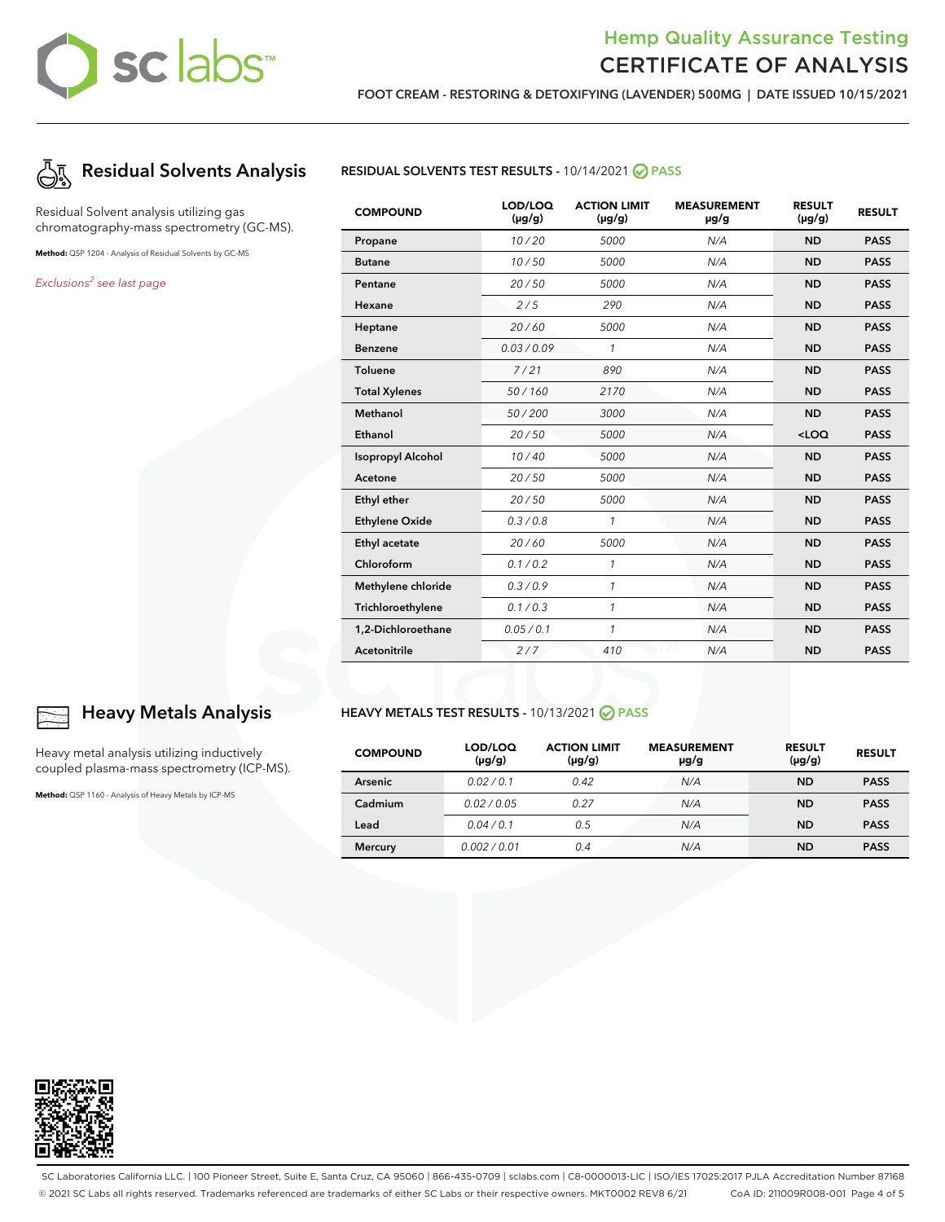# sclabs™

## Hemp Quality Assurance Testing CERTIFICATE OF ANALYSIS

**FOOT CREAM - RESTORING & DETOXIFYING (LAVENDER) 500MG | DATE ISSUED 10/15/2021**



Residual Solvent analysis utilizing gas chromatography-mass spectrometry (GC-MS).

**Method:** QSP 1204 - Analysis of Residual Solvents by GC-MS

Exclusions<sup>2</sup> see last page

**RESIDUAL SOLVENTS TEST RESULTS -** 10/14/2021 **PASS**

| <b>COMPOUND</b>          | LOD/LOQ<br>$(\mu g/g)$ | <b>ACTION LIMIT</b><br>$(\mu g/g)$ | <b>MEASUREMENT</b><br>µg/g | <b>RESULT</b><br>$(\mu g/g)$ | <b>RESULT</b> |
|--------------------------|------------------------|------------------------------------|----------------------------|------------------------------|---------------|
| Propane                  | 10/20                  | 5000                               | N/A                        | <b>ND</b>                    | <b>PASS</b>   |
| <b>Butane</b>            | 10/50                  | 5000                               | N/A                        | <b>ND</b>                    | <b>PASS</b>   |
| Pentane                  | 20/50                  | 5000                               | N/A                        | <b>ND</b>                    | <b>PASS</b>   |
| Hexane                   | 2/5                    | 290                                | N/A                        | <b>ND</b>                    | <b>PASS</b>   |
| Heptane                  | 20/60                  | 5000                               | N/A                        | <b>ND</b>                    | <b>PASS</b>   |
| <b>Benzene</b>           | 0.03/0.09              | $\mathbf{1}$                       | N/A                        | <b>ND</b>                    | <b>PASS</b>   |
| <b>Toluene</b>           | 7/21                   | 890                                | N/A                        | <b>ND</b>                    | <b>PASS</b>   |
| <b>Total Xylenes</b>     | 50/160                 | 2170                               | N/A                        | <b>ND</b>                    | <b>PASS</b>   |
| Methanol                 | 50/200                 | 3000                               | N/A                        | <b>ND</b>                    | <b>PASS</b>   |
| Ethanol                  | 20/50                  | 5000                               | N/A                        | $<$ LOQ                      | <b>PASS</b>   |
| <b>Isopropyl Alcohol</b> | 10/40                  | 5000                               | N/A                        | <b>ND</b>                    | <b>PASS</b>   |
| Acetone                  | 20/50                  | 5000                               | N/A                        | <b>ND</b>                    | <b>PASS</b>   |
| Ethyl ether              | 20/50                  | 5000                               | N/A                        | <b>ND</b>                    | <b>PASS</b>   |
| <b>Ethylene Oxide</b>    | 0.3/0.8                | 1                                  | N/A                        | <b>ND</b>                    | <b>PASS</b>   |
| Ethyl acetate            | 20/60                  | 5000                               | N/A                        | <b>ND</b>                    | <b>PASS</b>   |
| Chloroform               | 0.1 / 0.2              | 1                                  | N/A                        | <b>ND</b>                    | <b>PASS</b>   |
| Methylene chloride       | 0.3/0.9                | 1                                  | N/A                        | <b>ND</b>                    | <b>PASS</b>   |
| Trichloroethylene        | 0.1 / 0.3              | $\mathcal{I}$                      | N/A                        | <b>ND</b>                    | <b>PASS</b>   |
| 1,2-Dichloroethane       | 0.05 / 0.1             | 1                                  | N/A                        | <b>ND</b>                    | <b>PASS</b>   |
| Acetonitrile             | 2/7                    | 410                                | N/A                        | <b>ND</b>                    | <b>PASS</b>   |

### **HEAVY METALS TEST RESULTS -** 10/13/2021 **PASS**

| <b>COMPOUND</b> | LOD/LOQ<br>$(\mu g/g)$ | <b>ACTION LIMIT</b><br>$(\mu g/g)$ | <b>MEASUREMENT</b><br>µg/g | <b>RESULT</b><br>$(\mu g/g)$ | <b>RESULT</b> |
|-----------------|------------------------|------------------------------------|----------------------------|------------------------------|---------------|
| Arsenic         | 0.02/0.1               | 0.42                               | N/A                        | <b>ND</b>                    | <b>PASS</b>   |
| Cadmium         | 0.02/0.05              | 0.27                               | N/A                        | <b>ND</b>                    | <b>PASS</b>   |
| Lead            | 0.04/0.1               | 0.5                                | N/A                        | <b>ND</b>                    | <b>PASS</b>   |
| <b>Mercury</b>  | 0.002/0.01             | 0.4                                | N/A                        | <b>ND</b>                    | <b>PASS</b>   |



### **Heavy Metals Analysis**

Heavy metal analysis utilizing inductively coupled plasma-mass spectrometry (ICP-MS).

**Method:** QSP 1160 - Analysis of Heavy Metals by ICP-MS



SC Laboratories California LLC. | 100 Pioneer Street, Suite E, Santa Cruz, CA 95060 | 866-435-0709 | sclabs.com | C8-0000013-LIC | ISO/IES 17025:2017 PJLA Accreditation Number 87168 © 2021 SC Labs all rights reserved. Trademarks referenced are trademarks of either SC Labs or their respective owners. MKT0002 REV8 6/21 CoA ID: 211009R008-001 Page 4 of 5